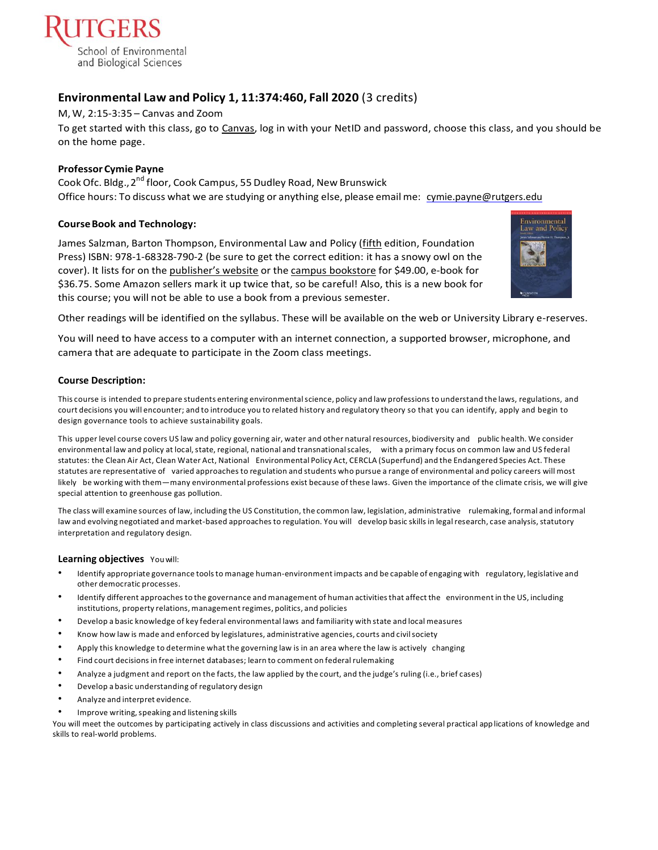

# **Environmental Law and Policy 1, 11:374:460, Fall 2020** (3 credits)

### M, W, 2:15-3:35 – Canvas and Zoom

To get started with this class, go to [Canvas,](https://canvas.rutgers.edu/) log in with your NetID and password, choose this class, and you should be on the home page.

### **ProfessorCymie Payne**

Cook Ofc. Bldg., 2<sup>nd</sup> floor, Cook Campus, 55 Dudley Road, New Brunswick Office hours: To discuss what we are studying or anything else, please emailme: [cymie.payne@rutgers.edu](mailto:cymie.payne@rutgers.edu) 

### **CourseBook and Technology:**

James Salzman, Barton Thompson, Environmental Law and Policy (fifth edition, Foundation Press) ISBN: 978-1-68328-790-2 (be sure to get the correct edition: it has a snowy owl on the cover). It lists for on the [publisher's website](http://store.westacademic.com/Salzman_and_Thompsons_Environmental_Law_and_Policy_5th_Concepts_and_Insights_Series_9781683287902.html) or the [campus bookstore](https://rutgers.bncollege.com/shop/rutgers/page/find-textbooks) for \$49.00, e-book for \$36.75. Some Amazon sellers mark it up twice that, so be careful! Also, this is a new book for this course; you will not be able to use a book from a previous semester.



Other readings will be identified on the syllabus. These will be available on the web or University Library e-reserves.

You will need to have access to a computer with an internet connection, a supported browser, microphone, and camera that are adequate to participate in the Zoom class meetings.

### **Course Description:**

This course is intended to prepare students entering environmentalscience, policy and law professions to understand the laws, regulations, and court decisions you will encounter; and to introduce you to related history and regulatory theory so that you can identify, apply and begin to design governance tools to achieve sustainability goals.

This upper level course covers US law and policy governing air, water and other natural resources, biodiversity and public health. We consider environmental law and policy at local, state, regional, national and transnational scales, with a primary focus on common law and US federal statutes: the Clean Air Act, Clean Water Act, National Environmental Policy Act, CERCLA (Superfund) and the Endangered Species Act. These statutes are representative of varied approaches to regulation and students who pursue a range of environmental and policy careers will most likely be working with them—many environmental professions exist because ofthese laws. Given the importance of the climate crisis, we will give special attention to greenhouse gas pollution.

The class will examine sources of law, including the US Constitution, the common law, legislation, administrative rulemaking, formal and informal law and evolving negotiated and market-based approaches to regulation. You will develop basic skills in legal research, case analysis, statutory interpretation and regulatory design.

### **Learning objectives** Youwill:

- Identify appropriate governance toolsto manage human-environment impacts and be capable of engaging with regulatory, legislative and other democratic processes.
- Identify different approaches to the governance and management of human activitiesthat affect the environment in the US, including institutions, property relations, management regimes, politics, and policies
- Develop a basic knowledge of key federal environmental laws and familiarity with state and local measures
- Know how law is made and enforced by legislatures, administrative agencies, courts and civilsociety
- Apply this knowledge to determine what the governing law is in an area where the law is actively changing
- Find court decisions in free internet databases; learn to comment on federal rulemaking
- Analyze a judgment and report on the facts, the law applied by the court, and the judge's ruling (i.e., brief cases)
- Develop a basic understanding of regulatory design
- Analyze and interpret evidence.
- Improve writing, speaking and listening skills

You will meet the outcomes by participating actively in class discussions and activities and completing several practical applications of knowledge and skills to real-world problems.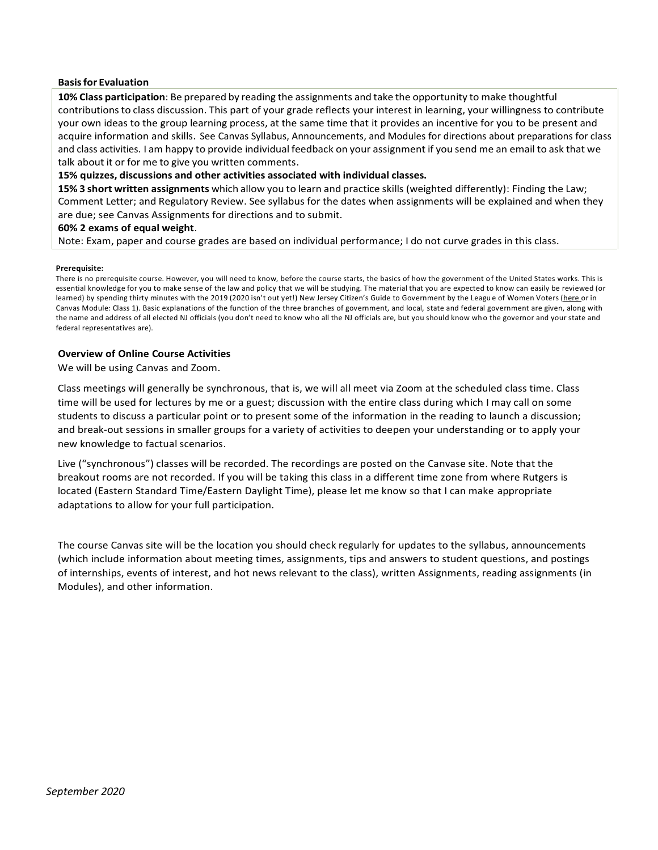### **Basisfor Evaluation**

**10% Class participation**: Be prepared by reading the assignments and take the opportunity to make thoughtful contributionsto class discussion. This part of your grade reflects your interest in learning, your willingness to contribute your own ideas to the group learning process, at the same time that it provides an incentive for you to be present and acquire information and skills. See Canvas Syllabus, Announcements, and Modules for directions about preparations for class and class activities. I am happy to provide individual feedback on your assignment if you send me an email to ask that we talk about it or for me to give you written comments.

### **15% quizzes, discussions and other activities associated with individual classes.**

**15% 3 short written assignments** which allow you to learn and practice skills (weighted differently): Finding the Law; Comment Letter; and Regulatory Review. See syllabus for the dates when assignments will be explained and when they are due; see Canvas Assignments for directions and to submit.

### **60% 2 exams of equal weight**.

Note: Exam, paper and course grades are based on individual performance; I do not curve grades in this class.

#### **Prerequisite:**

There is no prerequisite course. However, you will need to know, before the course starts, the basics of how the government of the United States works. This is essential knowledge for you to make sense of the law and policy that we will be studying. The material that you are expected to know can easily be reviewed (or learned) by spending thirty minutes with the 2019 (2020 isn't out yet!) New Jersey Citizen's Guide to Government by the League of Women Voters [\(here o](https://uploads-ssl.webflow.com/5bae63366fd2b2e5b9f87e5e/5d30f0a94a82c66427e564d2_2019_CitizensGuide.pdf)r in Canvas Module: Class 1). Basic explanations of the function of the three branches of government, and local, state and federal government are given, along with the name and address of all elected NJ officials (you don't need to know who all the NJ officials are, but you should know who the governor and your state and federal representatives are).

### **Overview of Online Course Activities**

We will be using Canvas and Zoom.

Class meetings will generally be synchronous, that is, we will all meet via Zoom at the scheduled class time. Class time will be used for lectures by me or a guest; discussion with the entire class during which I may call on some students to discuss a particular point or to present some of the information in the reading to launch a discussion; and break-out sessions in smaller groups for a variety of activities to deepen your understanding or to apply your new knowledge to factual scenarios.

Live ("synchronous") classes will be recorded. The recordings are posted on the Canvase site. Note that the breakout rooms are not recorded. If you will be taking this class in a different time zone from where Rutgers is located (Eastern Standard Time/Eastern Daylight Time), please let me know so that I can make appropriate adaptations to allow for your full participation.

The course Canvas site will be the location you should check regularly for updates to the syllabus, announcements (which include information about meeting times, assignments, tips and answers to student questions, and postings of internships, events of interest, and hot news relevant to the class), written Assignments, reading assignments (in Modules), and other information.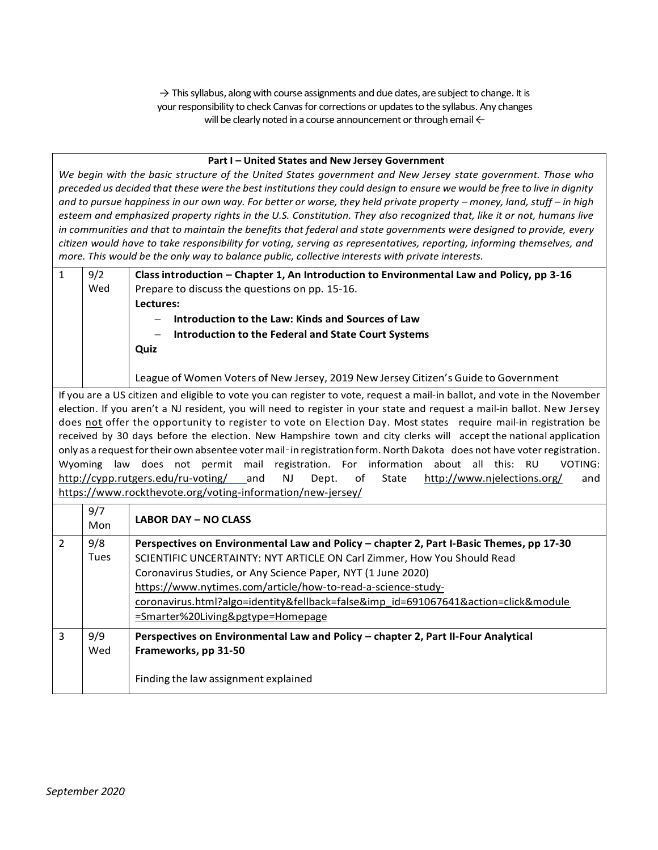$\rightarrow$  This syllabus, along with course assignments and due dates, are subject to change. It is your responsibility to check Canvas for corrections or updates to the syllabus. Any changes will be clearly noted in a course announcement or through email  $\leftarrow$ 

### **Part I – United States and New Jersey Government**

*We begin with the basic structure of the United States government and New Jersey state government. Those who preceded us decided that these were the best institutions they could design to ensure we would be free to live in dignity and to pursue happiness in our own way. For better or worse, they held private property – money, land, stuff – in high esteem and emphasized property rights in the U.S. Constitution. They also recognized that, like it or not, humans live in communities and that to maintain the benefits that federal and state governments were designed to provide, every citizen would have to take responsibility for voting, serving as representatives, reporting, informing themselves, and more. This would be the only way to balance public, collective interests with private interests.*

| $\mathbf{1}$                                                                                                                        | 9/2                                                                                                                     | Class introduction - Chapter 1, An Introduction to Environmental Law and Policy, pp 3-16                                                                                                                        |  |  |  |  |
|-------------------------------------------------------------------------------------------------------------------------------------|-------------------------------------------------------------------------------------------------------------------------|-----------------------------------------------------------------------------------------------------------------------------------------------------------------------------------------------------------------|--|--|--|--|
|                                                                                                                                     | Wed                                                                                                                     | Prepare to discuss the questions on pp. 15-16.                                                                                                                                                                  |  |  |  |  |
|                                                                                                                                     |                                                                                                                         | Lectures:                                                                                                                                                                                                       |  |  |  |  |
|                                                                                                                                     |                                                                                                                         | Introduction to the Law: Kinds and Sources of Law                                                                                                                                                               |  |  |  |  |
|                                                                                                                                     |                                                                                                                         | <b>Introduction to the Federal and State Court Systems</b>                                                                                                                                                      |  |  |  |  |
|                                                                                                                                     |                                                                                                                         | Quiz                                                                                                                                                                                                            |  |  |  |  |
|                                                                                                                                     |                                                                                                                         |                                                                                                                                                                                                                 |  |  |  |  |
|                                                                                                                                     |                                                                                                                         | League of Women Voters of New Jersey, 2019 New Jersey Citizen's Guide to Government                                                                                                                             |  |  |  |  |
| If you are a US citizen and eligible to vote you can register to vote, request a mail-in ballot, and vote in the November           |                                                                                                                         |                                                                                                                                                                                                                 |  |  |  |  |
|                                                                                                                                     | election. If you aren't a NJ resident, you will need to register in your state and request a mail-in ballot. New Jersey |                                                                                                                                                                                                                 |  |  |  |  |
|                                                                                                                                     | does not offer the opportunity to register to vote on Election Day. Most states require mail-in registration be         |                                                                                                                                                                                                                 |  |  |  |  |
| received by 30 days before the election. New Hampshire town and city clerks will accept the national application                    |                                                                                                                         |                                                                                                                                                                                                                 |  |  |  |  |
| only as a request for their own absentee voter mail-in registration form. North Dakota does not have voter registration.<br>Wyoming |                                                                                                                         |                                                                                                                                                                                                                 |  |  |  |  |
|                                                                                                                                     | law                                                                                                                     | does not permit mail registration. For information<br>about all this: RU<br><b>VOTING:</b><br>http://cypp.rutgers.edu/ru-voting/ and<br><b>NJ</b><br>Dept.<br>of<br>State<br>http://www.njelections.org/<br>and |  |  |  |  |
|                                                                                                                                     |                                                                                                                         | https://www.rockthevote.org/voting-information/new-jersey/                                                                                                                                                      |  |  |  |  |
|                                                                                                                                     |                                                                                                                         |                                                                                                                                                                                                                 |  |  |  |  |
|                                                                                                                                     | 9/7<br>Mon                                                                                                              | <b>LABOR DAY - NO CLASS</b>                                                                                                                                                                                     |  |  |  |  |
| $\overline{2}$                                                                                                                      | 9/8                                                                                                                     | Perspectives on Environmental Law and Policy - chapter 2, Part I-Basic Themes, pp 17-30                                                                                                                         |  |  |  |  |
|                                                                                                                                     | Tues                                                                                                                    | SCIENTIFIC UNCERTAINTY: NYT ARTICLE ON Carl Zimmer, How You Should Read                                                                                                                                         |  |  |  |  |
|                                                                                                                                     |                                                                                                                         | Coronavirus Studies, or Any Science Paper, NYT (1 June 2020)                                                                                                                                                    |  |  |  |  |
|                                                                                                                                     |                                                                                                                         | https://www.nytimes.com/article/how-to-read-a-science-study-                                                                                                                                                    |  |  |  |  |
|                                                                                                                                     |                                                                                                                         | coronavirus.html?algo=identity&fellback=false&imp_id=691067641&action=click&module                                                                                                                              |  |  |  |  |
|                                                                                                                                     |                                                                                                                         | =Smarter%20Living&pgtype=Homepage                                                                                                                                                                               |  |  |  |  |
| 3                                                                                                                                   | 9/9                                                                                                                     | Perspectives on Environmental Law and Policy - chapter 2, Part II-Four Analytical                                                                                                                               |  |  |  |  |
|                                                                                                                                     | Wed                                                                                                                     | Frameworks, pp 31-50                                                                                                                                                                                            |  |  |  |  |
|                                                                                                                                     |                                                                                                                         |                                                                                                                                                                                                                 |  |  |  |  |
|                                                                                                                                     |                                                                                                                         | Finding the law assignment explained                                                                                                                                                                            |  |  |  |  |
|                                                                                                                                     |                                                                                                                         |                                                                                                                                                                                                                 |  |  |  |  |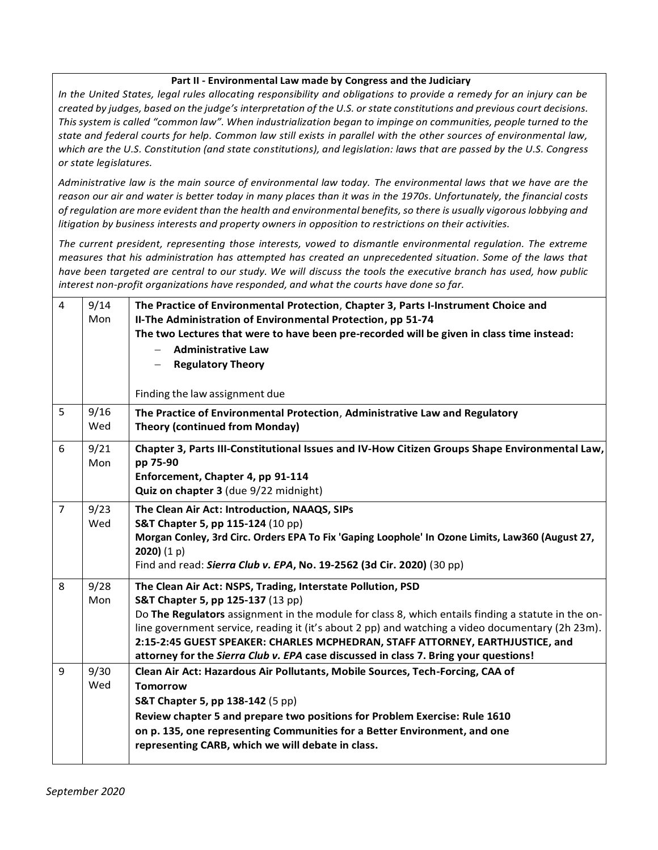## **Part II - Environmental Law made by Congress and the Judiciary**

*In the United States, legal rules allocating responsibility and obligations to provide a remedy for an injury can be created by judges, based on the judge's interpretation of the U.S. or state constitutions and previous court decisions. This system is called "common law". When industrialization began to impinge on communities, people turned to the state and federal courts for help. Common law still exists in parallel with the other sources of environmental law, which are the U.S. Constitution (and state constitutions), and legislation: laws that are passed by the U.S. Congress or state legislatures.*

*Administrative law is the main source of environmental law today. The environmental laws that we have are the reason our air and water is better today in many places than it was in the 1970s. Unfortunately, the financial costs of regulation are more evident than the health and environmental benefits, so there is usually vigorous lobbying and litigation by business interests and property owners in opposition to restrictions on their activities.*

*The current president, representing those interests, vowed to dismantle environmental regulation. The extreme measures that his administration has attempted has created an unprecedented situation. Some of the laws that have been targeted are central to our study. We will discuss the tools the executive branch has used, how public interest non-profit organizations have responded, and what the courts have done so far.*

| $\overline{4}$ | 9/14<br>Mon | The Practice of Environmental Protection, Chapter 3, Parts I-Instrument Choice and<br>II-The Administration of Environmental Protection, pp 51-74<br>The two Lectures that were to have been pre-recorded will be given in class time instead:<br><b>Administrative Law</b><br><b>Regulatory Theory</b><br>Finding the law assignment due                                                                                                                                           |
|----------------|-------------|-------------------------------------------------------------------------------------------------------------------------------------------------------------------------------------------------------------------------------------------------------------------------------------------------------------------------------------------------------------------------------------------------------------------------------------------------------------------------------------|
| 5              | 9/16<br>Wed | The Practice of Environmental Protection, Administrative Law and Regulatory<br><b>Theory (continued from Monday)</b>                                                                                                                                                                                                                                                                                                                                                                |
| 6              | 9/21<br>Mon | Chapter 3, Parts III-Constitutional Issues and IV-How Citizen Groups Shape Environmental Law,<br>pp 75-90<br>Enforcement, Chapter 4, pp 91-114<br>Quiz on chapter 3 (due 9/22 midnight)                                                                                                                                                                                                                                                                                             |
| $\overline{7}$ | 9/23<br>Wed | The Clean Air Act: Introduction, NAAQS, SIPs<br>S&T Chapter 5, pp 115-124 (10 pp)<br>Morgan Conley, 3rd Circ. Orders EPA To Fix 'Gaping Loophole' In Ozone Limits, Law360 (August 27,<br>2020) $(1 p)$<br>Find and read: Sierra Club v. EPA, No. 19-2562 (3d Cir. 2020) (30 pp)                                                                                                                                                                                                     |
| 8              | 9/28<br>Mon | The Clean Air Act: NSPS, Trading, Interstate Pollution, PSD<br>S&T Chapter 5, pp 125-137 (13 pp)<br>Do The Regulators assignment in the module for class 8, which entails finding a statute in the on-<br>line government service, reading it (it's about 2 pp) and watching a video documentary (2h 23m).<br>2:15-2:45 GUEST SPEAKER: CHARLES MCPHEDRAN, STAFF ATTORNEY, EARTHJUSTICE, and<br>attorney for the Sierra Club v. EPA case discussed in class 7. Bring your questions! |
| 9              | 9/30<br>Wed | Clean Air Act: Hazardous Air Pollutants, Mobile Sources, Tech-Forcing, CAA of<br><b>Tomorrow</b><br><b>S&amp;T Chapter 5, pp 138-142 (5 pp)</b><br>Review chapter 5 and prepare two positions for Problem Exercise: Rule 1610<br>on p. 135, one representing Communities for a Better Environment, and one<br>representing CARB, which we will debate in class.                                                                                                                     |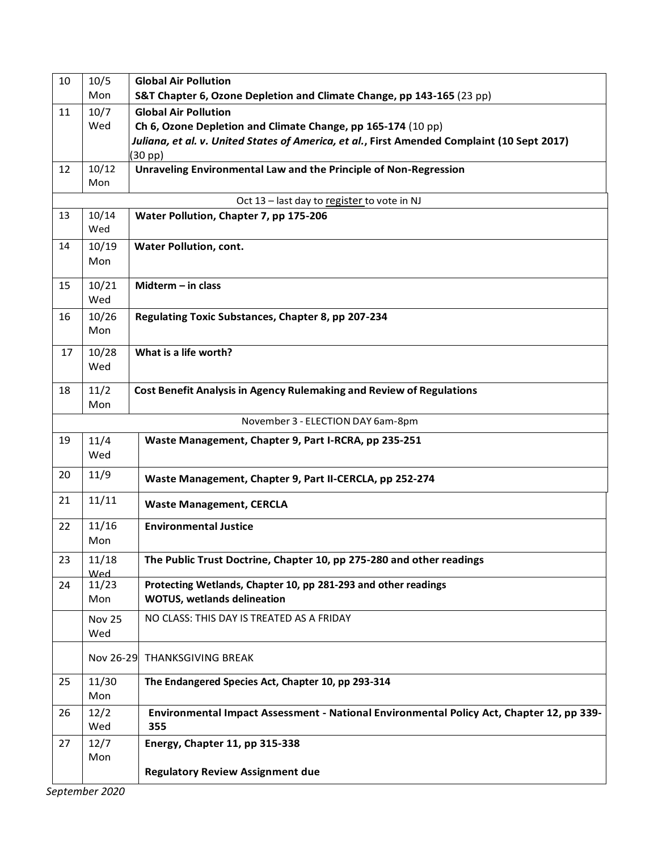| 10 | 10/5                                        | <b>Global Air Pollution</b>                                                                 |  |  |  |  |
|----|---------------------------------------------|---------------------------------------------------------------------------------------------|--|--|--|--|
|    | Mon                                         | S&T Chapter 6, Ozone Depletion and Climate Change, pp 143-165 (23 pp)                       |  |  |  |  |
| 11 | 10/7                                        | <b>Global Air Pollution</b>                                                                 |  |  |  |  |
|    | Wed                                         | Ch 6, Ozone Depletion and Climate Change, pp 165-174 (10 pp)                                |  |  |  |  |
|    |                                             | Juliana, et al. v. United States of America, et al., First Amended Complaint (10 Sept 2017) |  |  |  |  |
|    |                                             | (30 pp)                                                                                     |  |  |  |  |
| 12 | 10/12<br>Mon                                | Unraveling Environmental Law and the Principle of Non-Regression                            |  |  |  |  |
|    | Oct 13 - last day to register to vote in NJ |                                                                                             |  |  |  |  |
| 13 | 10/14                                       | Water Pollution, Chapter 7, pp 175-206                                                      |  |  |  |  |
|    | Wed                                         |                                                                                             |  |  |  |  |
| 14 | 10/19                                       | <b>Water Pollution, cont.</b>                                                               |  |  |  |  |
|    | Mon                                         |                                                                                             |  |  |  |  |
|    |                                             |                                                                                             |  |  |  |  |
| 15 | 10/21                                       | Midterm $-$ in class                                                                        |  |  |  |  |
|    | Wed                                         |                                                                                             |  |  |  |  |
| 16 | 10/26                                       | Regulating Toxic Substances, Chapter 8, pp 207-234                                          |  |  |  |  |
|    | Mon                                         |                                                                                             |  |  |  |  |
| 17 | 10/28                                       | What is a life worth?                                                                       |  |  |  |  |
|    | Wed                                         |                                                                                             |  |  |  |  |
|    |                                             |                                                                                             |  |  |  |  |
| 18 | 11/2                                        | <b>Cost Benefit Analysis in Agency Rulemaking and Review of Regulations</b>                 |  |  |  |  |
|    | Mon                                         |                                                                                             |  |  |  |  |
|    |                                             | November 3 - ELECTION DAY 6am-8pm                                                           |  |  |  |  |
| 19 | 11/4                                        | Waste Management, Chapter 9, Part I-RCRA, pp 235-251                                        |  |  |  |  |
|    | Wed                                         |                                                                                             |  |  |  |  |
| 20 | 11/9                                        | Waste Management, Chapter 9, Part II-CERCLA, pp 252-274                                     |  |  |  |  |
| 21 | 11/11                                       | <b>Waste Management, CERCLA</b>                                                             |  |  |  |  |
| 22 | 11/16                                       | <b>Environmental Justice</b>                                                                |  |  |  |  |
|    | Mon                                         |                                                                                             |  |  |  |  |
| 23 | 11/18                                       | The Public Trust Doctrine, Chapter 10, pp 275-280 and other readings                        |  |  |  |  |
| 24 | heW<br>11/23                                | Protecting Wetlands, Chapter 10, pp 281-293 and other readings                              |  |  |  |  |
|    | Mon                                         | <b>WOTUS, wetlands delineation</b>                                                          |  |  |  |  |
|    |                                             | NO CLASS: THIS DAY IS TREATED AS A FRIDAY                                                   |  |  |  |  |
|    | Nov 25<br>Wed                               |                                                                                             |  |  |  |  |
|    |                                             |                                                                                             |  |  |  |  |
|    | Nov 26-29                                   | <b>THANKSGIVING BREAK</b>                                                                   |  |  |  |  |
| 25 | 11/30                                       | The Endangered Species Act, Chapter 10, pp 293-314                                          |  |  |  |  |
|    | Mon                                         |                                                                                             |  |  |  |  |
| 26 | 12/2                                        | Environmental Impact Assessment - National Environmental Policy Act, Chapter 12, pp 339-    |  |  |  |  |
|    | Wed                                         | 355                                                                                         |  |  |  |  |
| 27 | 12/7                                        | Energy, Chapter 11, pp 315-338                                                              |  |  |  |  |
|    | Mon                                         |                                                                                             |  |  |  |  |
|    |                                             | <b>Regulatory Review Assignment due</b>                                                     |  |  |  |  |